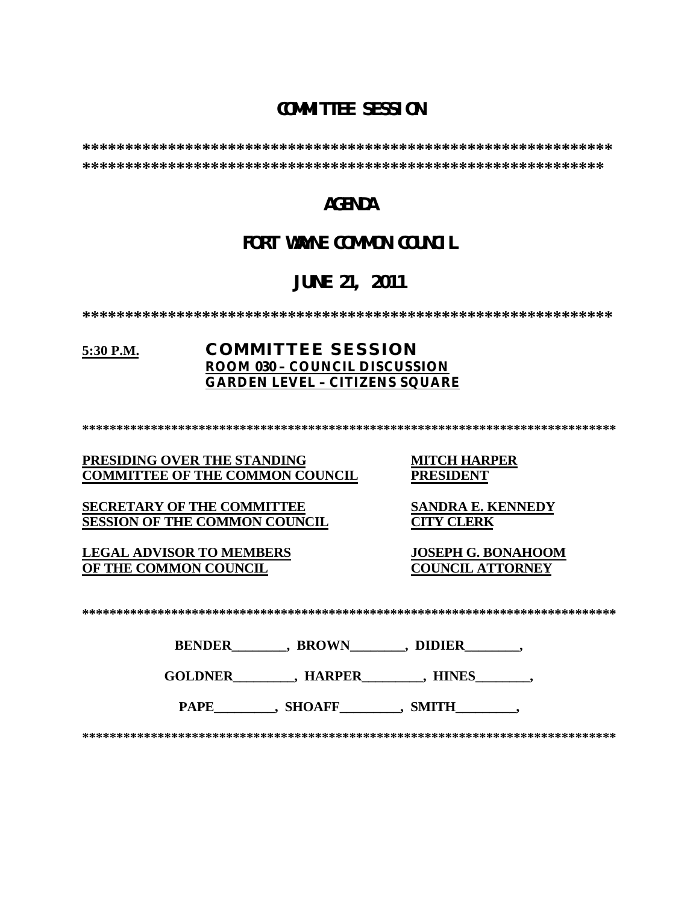## **COMMITTEE SESSION**

**\*\*\*\*\*\*\*\*\*\*\*\*\*\*\*\*\*\*\*\*\*\*\*\*\*\*\*\*\*\*\*\*\*\*\*\*\*\*\*\*\*\*\*\*\*\*\*\*\*\*\*\*\*\*\*\*\*\*\*\*\*\* \*\*\*\*\*\*\*\*\*\*\*\*\*\*\*\*\*\*\*\*\*\*\*\*\*\*\*\*\*\*\*\*\*\*\*\*\*\*\*\*\*\*\*\*\*\*\*\*\*\*\*\*\*\*\*\*\*\*\*\*\***

### **AGENDA**

## **FORT WAYNE COMMON COUNCIL**

# **JUNE 21, 2011**

**\*\*\*\*\*\*\*\*\*\*\*\*\*\*\*\*\*\*\*\*\*\*\*\*\*\*\*\*\*\*\*\*\*\*\*\*\*\*\*\*\*\*\*\*\*\*\*\*\*\*\*\*\*\*\*\*\*\*\*\*\*\***

### **5:30 P.M. COMMITTEE SESSION ROOM 030 – COUNCIL DISCUSSION GARDEN LEVEL – CITIZENS SQUARE**

**\*\*\*\*\*\*\*\*\*\*\*\*\*\*\*\*\*\*\*\*\*\*\*\*\*\*\*\*\*\*\*\*\*\*\*\*\*\*\*\*\*\*\*\*\*\*\*\*\*\*\*\*\*\*\*\*\*\*\*\*\*\*\*\*\*\*\*\*\*\*\*\*\*\*\*\*\*\***

#### **PRESIDING OVER THE STANDING MITCH HARPER COMMITTEE OF THE COMMON COUNCIL**

**SECRETARY OF THE COMMITTEE SANDRA E. KENNEDY**<br>**SESSION OF THE COMMON COUNCIL CITY CLERK SESSION OF THE COMMON COUNCIL** 

**LEGAL ADVISOR TO MEMBERS JOSEPH G. BONAHOOM OF THE COMMON COUNCIL** 

| $\mathbf{A}$<br>- - |
|---------------------|
|---------------------|

| <b>BENDER</b> | <b>BROWN</b> | <b>DIDIER</b> |
|---------------|--------------|---------------|
|               |              |               |

**GOLDNER\_\_\_\_\_\_\_\_\_, HARPER\_\_\_\_\_\_\_\_\_, HINES\_\_\_\_\_\_\_\_,** 

PAPE , SHOAFF , SMITH

**\*\*\*\*\*\*\*\*\*\*\*\*\*\*\*\*\*\*\*\*\*\*\*\*\*\*\*\*\*\*\*\*\*\*\*\*\*\*\*\*\*\*\*\*\*\*\*\*\*\*\*\*\*\*\*\*\*\*\*\*\*\*\*\*\*\*\*\*\*\*\*\*\*\*\*\*\*\***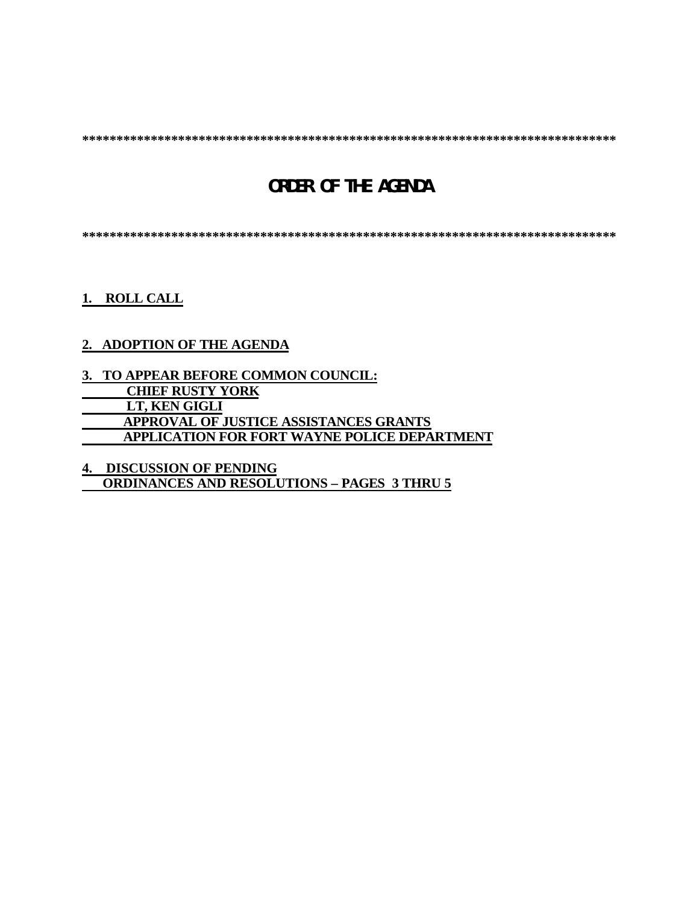**\*\*\*\*\*\*\*\*\*\*\*\*\*\*\*\*\*\*\*\*\*\*\*\*\*\*\*\*\*\*\*\*\*\*\*\*\*\*\*\*\*\*\*\*\*\*\*\*\*\*\*\*\*\*\*\*\*\*\*\*\*\*\*\*\*\*\*\*\*\*\*\*\*\*\*\*\*\***

# **ORDER OF THE AGENDA**

**\*\*\*\*\*\*\*\*\*\*\*\*\*\*\*\*\*\*\*\*\*\*\*\*\*\*\*\*\*\*\*\*\*\*\*\*\*\*\*\*\*\*\*\*\*\*\*\*\*\*\*\*\*\*\*\*\*\*\*\*\*\*\*\*\*\*\*\*\*\*\*\*\*\*\*\*\*\***

**1. ROLL CALL**

### **2. ADOPTION OF THE AGENDA**

**3. TO APPEAR BEFORE COMMON COUNCIL: CHIEF RUSTY YORK LT, KEN GIGLI APPROVAL OF JUSTICE ASSISTANCES GRANTS APPLICATION FOR FORT WAYNE POLICE DEPARTMENT**

**4. DISCUSSION OF PENDING ORDINANCES AND RESOLUTIONS – PAGES 3 THRU 5**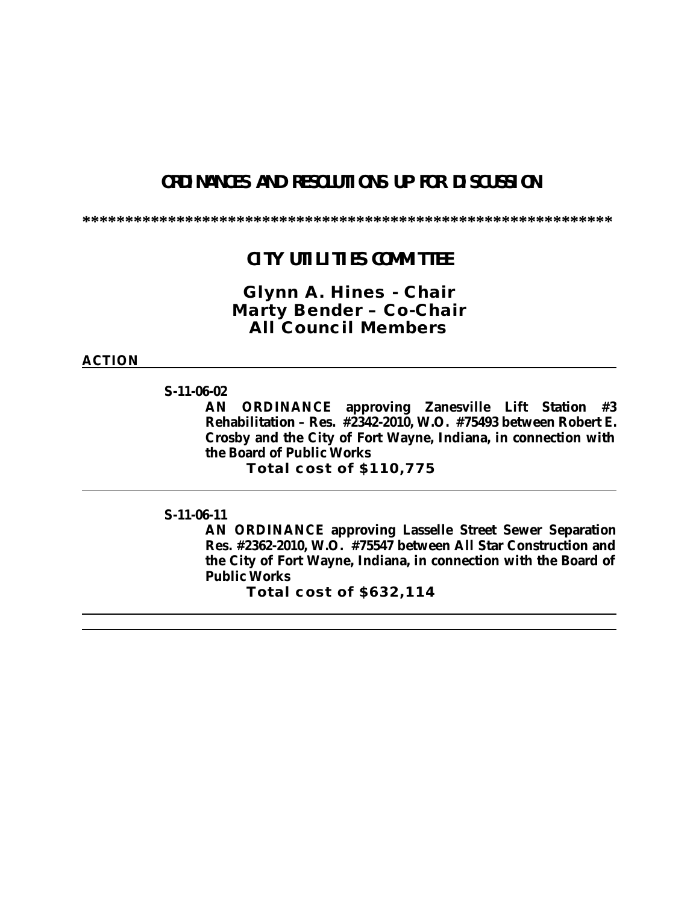## **ORDINANCES AND RESOLUTIONS UP FOR DISCUSSION**

**\*\*\*\*\*\*\*\*\*\*\*\*\*\*\*\*\*\*\*\*\*\*\*\*\*\*\*\*\*\*\*\*\*\*\*\*\*\*\*\*\*\*\*\*\*\*\*\*\*\*\*\*\*\*\*\*\*\*\*\*\*\***

### **CITY UTILITIES COMMITTEE**

*Glynn A. Hines - Chair Marty Bender – Co-Chair All Council Members*

**ACTION**

**S-11-06-02**

**AN ORDINANCE approving Zanesville Lift Station #3 Rehabilitation – Res. #2342-2010, W.O. #75493 between Robert E. Crosby and the City of Fort Wayne, Indiana, in connection with the Board of Public Works**

**Total cost of \$110,775**

**S-11-06-11**

**AN ORDINANCE approving Lasselle Street Sewer Separation Res. #2362-2010, W.O. #75547 between All Star Construction and the City of Fort Wayne, Indiana, in connection with the Board of Public Works**

**Total cost of \$632,114**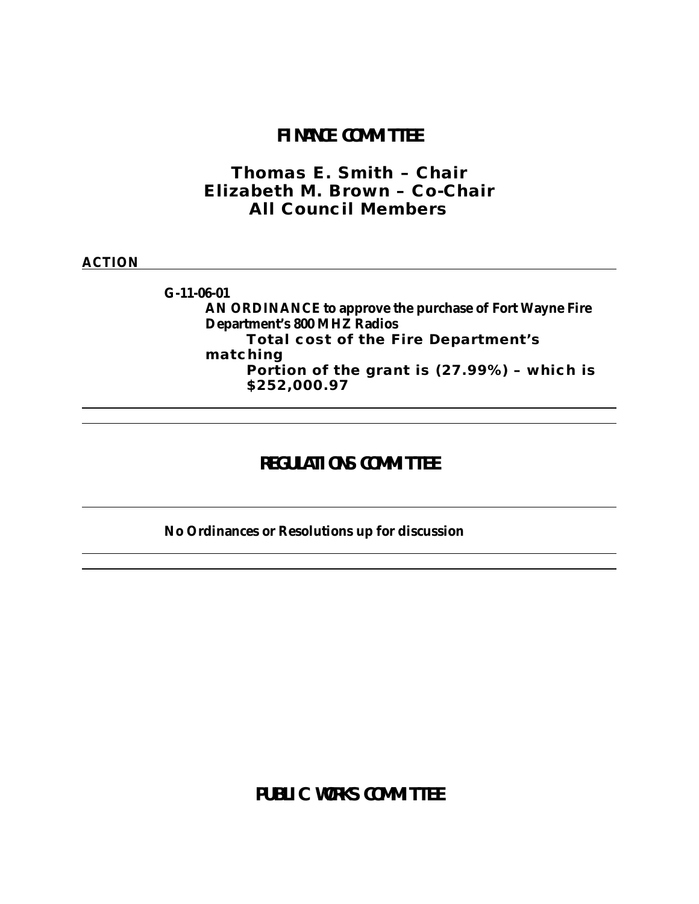### **FINANCE COMMITTEE**

*Thomas E. Smith – Chair Elizabeth M. Brown – Co-Chair All Council Members*

#### **ACTION**

**G-11-06-01 AN ORDINANCE to approve the purchase of Fort Wayne Fire Department's 800 MHZ Radios Total cost of the Fire Department's matching** 

**Portion of the grant is (27.99%) – which is \$252,000.97**

## **REGULATIONS COMM TTEE**

### **No Ordinances or Resolutions up for discussion**

**PUBLIC WORKS COMM TTEE**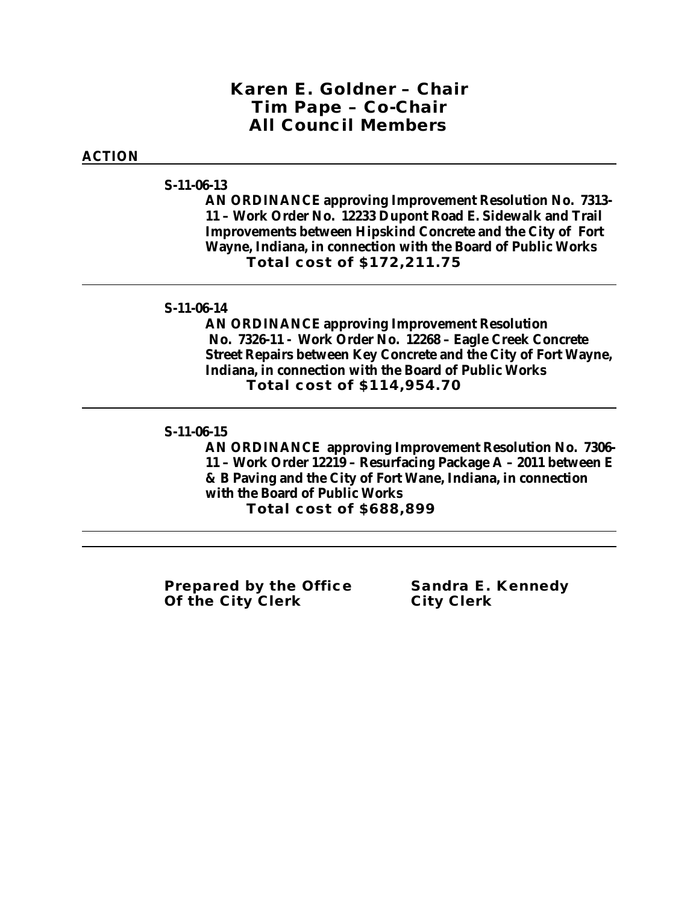### *Karen E. Goldner – Chair Tim Pape – Co-Chair All Council Members*

#### **ACTION**

#### **S-11-06-13**

**AN ORDINANCE approving Improvement Resolution No. 7313- 11 – Work Order No. 12233 Dupont Road E. Sidewalk and Trail Improvements between Hipskind Concrete and the City of Fort Wayne, Indiana, in connection with the Board of Public Works Total cost of \$172,211.75**

#### **S-11-06-14**

**AN ORDINANCE approving Improvement Resolution No. 7326-11 - Work Order No. 12268 – Eagle Creek Concrete Street Repairs between Key Concrete and the City of Fort Wayne, Indiana, in connection with the Board of Public Works Total cost of \$114,954.70**

#### **S-11-06-15**

**AN ORDINANCE approving Improvement Resolution No. 7306- 11 – Work Order 12219 – Resurfacing Package A – 2011 between E & B Paving and the City of Fort Wane, Indiana, in connection with the Board of Public Works Total cost of \$688,899**

**Prepared by the Office Sandra E. Kennedy Of the City Clerk City Clerk**